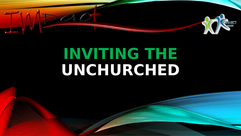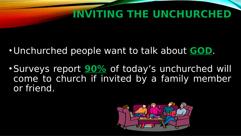- Unchurched people want to talk about **GOD**.
- •Surveys report **90%** of today's unchurched will come to church if invited by a family member or friend.

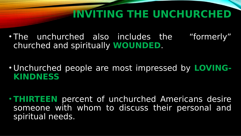- The unchurched also includes the "formerly" churched and spiritually **WOUNDED**.
- Unchurched people are most impressed by **LOVING-KINDNESS**
- **THIRTEEN** percent of unchurched Americans desire someone with whom to discuss their personal and spiritual needs.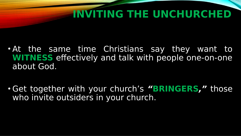- At the same time Christians say they want to **WITNESS** effectively and talk with people one-on-one about God.
- Get together with your church's **"BRINGERS,"** those who invite outsiders in your church.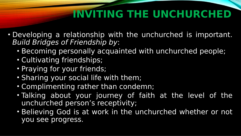- Developing a relationship with the unchurched is important. Build Bridges of Friendship by:
	- Becoming personally acquainted with unchurched people;
	- Cultivating friendships;
	- Praying for your friends;
	- Sharing your social life with them;
	- Complimenting rather than condemn;
	- Talking about your journey of faith at the level of the unchurched person's receptivity;
	- Believing God is at work in the unchurched whether or not you see progress.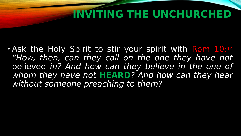• Ask the Holy Spirit to stir your spirit with Rom 10:14 "How, then, can they call on the one they have not believed in? And how can they believe in the one of whom they have not **HEARD**? And how can they hear without someone preaching to them?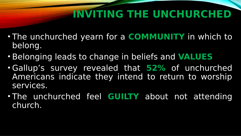- The unchurched yearn for a **COMMUNITY** in which to belong.
- Belonging leads to change in beliefs and **VALUES**
- Gallup's survey revealed that **52%** of unchurched Americans indicate they intend to return to worship services.
- The unchurched feel **GUILTY** about not attending church.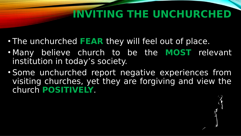- The unchurched **FEAR** they will feel out of place.
- Many believe church to be the **MOST** relevant institution in today's society.
- Some unchurched report negative experiences from visiting churches, yet they are forgiving and view the church **POSITIVELY**.

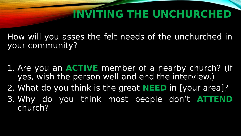How will you asses the felt needs of the unchurched in your community?

- 1. Are you an **ACTIVE** member of a nearby church? (if yes, wish the person well and end the interview.)
- 2. What do you think is the great **NEED** in [your area]?
- 3. Why do you think most people don't **ATTEND** church?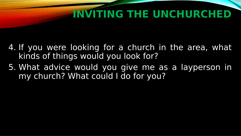- 4. If you were looking for a church in the area, what kinds of things would you look for?
- 5. What advice would you give me as a layperson in my church? What could I do for you?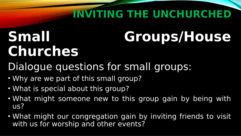# **Churches**

## **Small Groups/House**

#### Dialogue questions for small groups:

- Why are we part of this small group?
- What is special about this group?
- What might someone new to this group gain by being with us?
- What might our congregation gain by inviting friends to visit with us for worship and other events?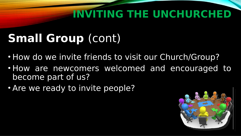#### **Small Group** (cont)

- How do we invite friends to visit our Church/Group?
- How are newcomers welcomed and encouraged to become part of us?
- Are we ready to invite people?